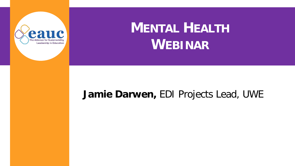

# **MENTAL HEALTH WEBINAR**

#### **Jamie Darwen,** EDI Projects Lead, UWE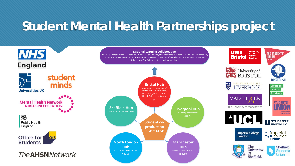## **Student Mental Health Partnerships project**

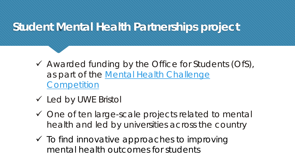### **Student Mental Health Partnerships project**

- Awarded funding by the Office for Students (OfS), [as part of the Mental Health Challenge](https://www.officeforstudents.org.uk/advice-and-guidance/student-wellbeing-and-protection/improving-mental-health-outcomes/)  **Competition**
- Led by UWE Bristol
- ◆ One of ten large-scale projects related to mental health and led by universities across the country
- $\checkmark$  To find innovative approaches to improving mental health outcomes for students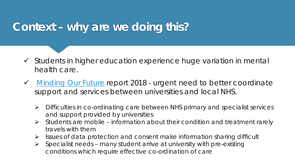### **Context – why are we doing this?**

- $\checkmark$  Students in higher education experience huge variation in mental health care.
- [Minding Our Future](https://www.universitiesuk.ac.uk/policy-and-analysis/reports/Documents/2018/minding-our-future-starting-conversation-student-mental-health.pdf) report 2018 urgent need to better coordinate support and services between universities and local NHS.
	- $\triangleright$  Difficulties in co-ordinating care between NHS primary and specialist services and support provided by universities
	- Students are mobile information about their condition and treatment rarely travels with them
	- $\triangleright$  Issues of data protection and consent make information sharing difficult
	- $\triangleright$  Specialist needs many student arrive at university with pre-existing conditions which require effective co-ordination of care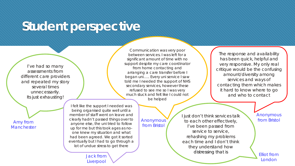### **Student perspective**

I've had so many assessments from different care providers and repeated my story several times unnecessarily. Its just exhausting!

**Manchester** 

Communication was very poor between services. I was left for a significant amount of time with no support despite my care coordinator from home contacting and arranging a care transfer before I began uni….. Every uni service I saw told me I needed the support of NHS secondary services, however these refused to see me so I was very much stuck and felt like I could not be helped

The response and availability has been quick, helpful and very responsive. My only real critique would be the confusing amount/diversity among services and ways of contacting them which makes it hard to know where to go and who to contact

I felt like the support I needed was being organised quite well until a member of staff went on leave and clearly hadn't passed things over to anyone else, the uni tried to follow up for me but this took ages as noone knew my situation and what had been agreed. We got it sorted eventually but I had to go through a lot of undue stress to get there Amy from Sanyone else the unitried to follow Anonymous (Anonymous to each other effectively, anyone else the unitried to follow

> Jack from **Liverpool**

**Anonymous** from Bristol

I just don't think services talk I've been passed from service to service, rehashing my problems each time and I don't think they understand how distressing that is **Elliot** from

Anonymous

London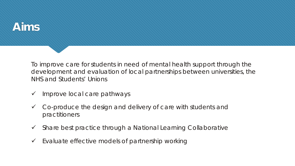#### **Aims**

To improve care for students in need of mental health support through the development and evaluation of local partnerships between universities, the NHS and Students' Unions

- Improve local care pathways
- $\checkmark$  Co-produce the design and delivery of care with students and practitioners
- $\checkmark$  Share best practice through a National Learning Collaborative
- $\checkmark$  Evaluate effective models of partnership working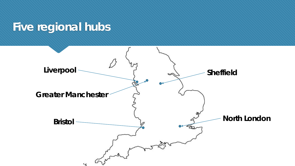### **Five regional hubs**

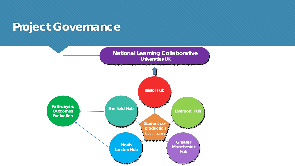#### **Project Governance**

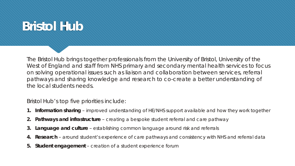### **Bristol Hub**

The Bristol Hub brings together professionals from the University of Bristol, University of the West of England and staff from NHS primary and secondary mental health services to focus on solving operational issues such as liaison and collaboration between services, referral pathways and sharing knowledge and research to co-create a better understanding of the local students needs.

Bristol Hub's top five priorities include:

- **Information sharing** improved understanding of HE/NHS support available and how they work together
- **2. Pathways and infrastructure**  creating a bespoke student referral and care pathway
- **3. Language and culture**  establishing common language around risk and referrals
- **4. Research** around student's experience of care pathways and consistency with NHS and referral data
- **5. Student engagement**  creation of a student experience forum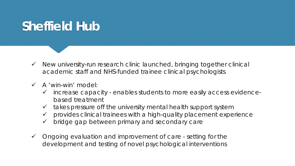### **Sheffield Hub**

- $\checkmark$  New university-run research clinic launched, bringing together clinical academic staff and NHS-funded trainee clinical psychologists
- A 'win-win' model:
	- $\checkmark$  increase capacity enables students to more easily access evidencebased treatment
	- $\checkmark$  takes pressure off the university mental health support system
	- $\checkmark$  provides clinical trainees with a high-quality placement experience
	- $\checkmark$  bridge gap between primary and secondary care
- $\checkmark$  Ongoing evaluation and improvement of care setting for the development and testing of novel psychological interventions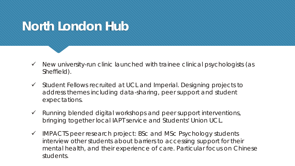### **North London Hub**

- $\checkmark$  New university-run clinic launched with trainee clinical psychologists (as Sheffield).
- $\checkmark$  Student Fellows recruited at UCL and Imperial. Designing projects to address themes including data-sharing, peer support and student expectations.
- $\checkmark$  Running blended digital workshops and peer support interventions, bringing together local IAPT service and Students' Union UCL.
- $\checkmark$  IMPACTS peer research project: BSc and MSc Psychology students interview other students about barriers to accessing support for their mental health, and their experience of care. Particular focus on Chinese students.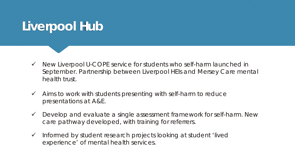### **Liverpool Hub**

- $\checkmark$  New Liverpool U-COPE service for students who self-harm launched in September. Partnership between Liverpool HEIs and Mersey Care mental health trust.
- $\checkmark$  Aims to work with students presenting with self-harm to reduce presentations at A&E.
- $\checkmark$  Develop and evaluate a single assessment framework for self-harm. New care pathway developed, with training for referrers.
- $\checkmark$  Informed by student research projects looking at student 'lived experience' of mental health services.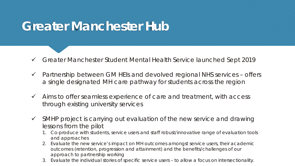### **Greater Manchester Hub**

- Greater Manchester Student Mental Health Service launched Sept 2019
- $\checkmark$  Partnership between GM HEIs and devolved regional NHS services offers a single designated MH care pathway for students across the region
- $\checkmark$  Aims to offer seamless experience of care and treatment, with access through existing university services
- $\checkmark$  SMHP project is carrying out evaluation of the new service and drawing lessons from the pilot
	- 1. Co-produce with students, service users and staff robust/innovative range of evaluation tools and approaches
	- 2. Evaluate the new service's impact on MH outcomes amongst service users, their academic outcomes (retention, progression and attainment) and the benefits/challenges of our approach to partnership working
	- 3. Evaluate the individual stories of specific service users to allow a focus on intersectionality.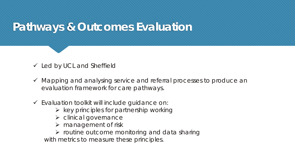#### **Pathways & Outcomes Evaluation**

 $\checkmark$  Led by UCL and Sheffield

- $\checkmark$  Mapping and analysing service and referral processes to produce an evaluation framework for care pathways.
- $\checkmark$  Evaluation toolkit will include guidance on:
	- $\triangleright$  key principles for partnership working
	- $\triangleright$  clinical governance
	- $\triangleright$  management of risk
	- $\triangleright$  routine outcome monitoring and data sharing with metrics to measure these principles.